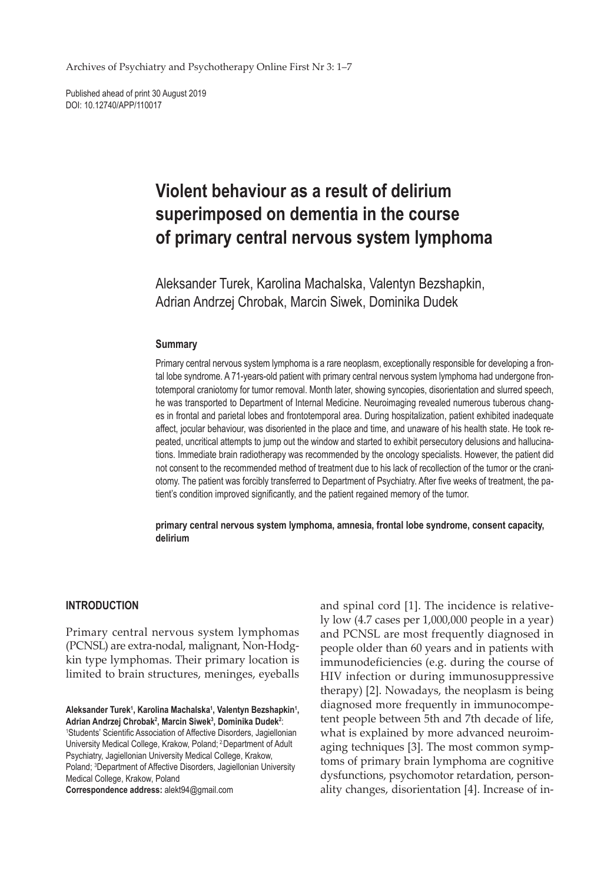Archives of Psychiatry and Psychotherapy Online First Nr 3: 1–7

Published ahead of print 30 August 2019 DOI: 10.12740/APP/110017

# **Violent behaviour as a result of delirium superimposed on dementia in the course of primary central nervous system lymphoma**

Aleksander Turek, Karolina Machalska, Valentyn Bezshapkin, Adrian Andrzej Chrobak, Marcin Siwek, Dominika Dudek

## **Summary**

Primary central nervous system lymphoma is a rare neoplasm, exceptionally responsible for developing a frontal lobe syndrome. A 71-years-old patient with primary central nervous system lymphoma had undergone frontotemporal craniotomy for tumor removal. Month later, showing syncopies, disorientation and slurred speech, he was transported to Department of Internal Medicine. Neuroimaging revealed numerous tuberous changes in frontal and parietal lobes and frontotemporal area. During hospitalization, patient exhibited inadequate affect, jocular behaviour, was disoriented in the place and time, and unaware of his health state. He took repeated, uncritical attempts to jump out the window and started to exhibit persecutory delusions and hallucinations. Immediate brain radiotherapy was recommended by the oncology specialists. However, the patient did not consent to the recommended method of treatment due to his lack of recollection of the tumor or the craniotomy. The patient was forcibly transferred to Department of Psychiatry. After five weeks of treatment, the patient's condition improved significantly, and the patient regained memory of the tumor.

**primary central nervous system lymphoma, amnesia, frontal lobe syndrome, consent capacity, delirium**

## **INTRODUCTION**

Primary central nervous system lymphomas (PCNSL) are extra-nodal, malignant, Non-Hodgkin type lymphomas. Their primary location is limited to brain structures, meninges, eyeballs

Aleksander Turek<sup>1</sup>, Karolina Machalska<sup>1</sup>, Valentyn Bezshapkin<sup>1</sup>, Adrian Andrzej Chrobak<sup>2</sup>, Marcin Siwek<sup>3</sup>, Dominika Dudek<sup>2</sup>:

1 Students' Scientific Association of Affective Disorders, Jagiellonian University Medical College, Krakow, Poland; 2.Department of Adult Psychiatry, Jagiellonian University Medical College, Krakow, Poland; 3 Department of Affective Disorders, Jagiellonian University Medical College, Krakow, Poland

**Correspondence address:** alekt94@gmail.com

and spinal cord [1]. The incidence is relatively low (4.7 cases per 1,000,000 people in a year) and PCNSL are most frequently diagnosed in people older than 60 years and in patients with immunodeficiencies (e.g. during the course of HIV infection or during immunosuppressive therapy) [2]. Nowadays, the neoplasm is being diagnosed more frequently in immunocompetent people between 5th and 7th decade of life, what is explained by more advanced neuroimaging techniques [3]. The most common symptoms of primary brain lymphoma are cognitive dysfunctions, psychomotor retardation, personality changes, disorientation [4]. Increase of in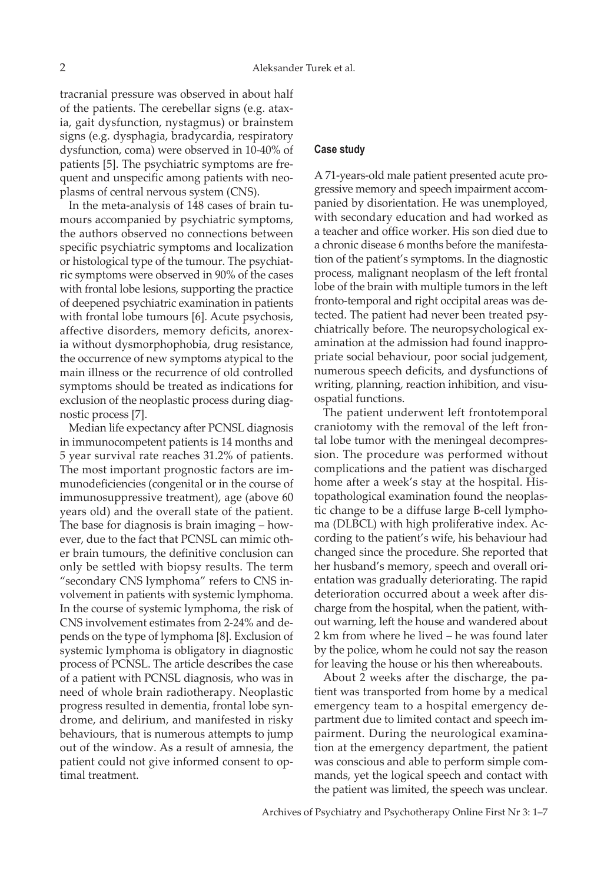tracranial pressure was observed in about half of the patients. The cerebellar signs (e.g. ataxia, gait dysfunction, nystagmus) or brainstem signs (e.g. dysphagia, bradycardia, respiratory dysfunction, coma) were observed in 10-40% of patients [5]. The psychiatric symptoms are frequent and unspecific among patients with neoplasms of central nervous system (CNS).

In the meta-analysis of 148 cases of brain tumours accompanied by psychiatric symptoms, the authors observed no connections between specific psychiatric symptoms and localization or histological type of the tumour. The psychiatric symptoms were observed in 90% of the cases with frontal lobe lesions, supporting the practice of deepened psychiatric examination in patients with frontal lobe tumours [6]. Acute psychosis, affective disorders, memory deficits, anorexia without dysmorphophobia, drug resistance, the occurrence of new symptoms atypical to the main illness or the recurrence of old controlled symptoms should be treated as indications for exclusion of the neoplastic process during diagnostic process [7].

Median life expectancy after PCNSL diagnosis in immunocompetent patients is 14 months and 5 year survival rate reaches 31.2% of patients. The most important prognostic factors are immunodeficiencies (congenital or in the course of immunosuppressive treatment), age (above 60 years old) and the overall state of the patient. The base for diagnosis is brain imaging – however, due to the fact that PCNSL can mimic other brain tumours, the definitive conclusion can only be settled with biopsy results. The term "secondary CNS lymphoma" refers to CNS involvement in patients with systemic lymphoma. In the course of systemic lymphoma, the risk of CNS involvement estimates from 2-24% and depends on the type of lymphoma [8]. Exclusion of systemic lymphoma is obligatory in diagnostic process of PCNSL. The article describes the case of a patient with PCNSL diagnosis, who was in need of whole brain radiotherapy. Neoplastic progress resulted in dementia, frontal lobe syndrome, and delirium, and manifested in risky behaviours, that is numerous attempts to jump out of the window. As a result of amnesia, the patient could not give informed consent to optimal treatment.

#### **Case study**

A 71-years-old male patient presented acute progressive memory and speech impairment accompanied by disorientation. He was unemployed, with secondary education and had worked as a teacher and office worker. His son died due to a chronic disease 6 months before the manifestation of the patient's symptoms. In the diagnostic process, malignant neoplasm of the left frontal lobe of the brain with multiple tumors in the left fronto-temporal and right occipital areas was detected. The patient had never been treated psychiatrically before. The neuropsychological examination at the admission had found inappropriate social behaviour, poor social judgement, numerous speech deficits, and dysfunctions of writing, planning, reaction inhibition, and visuospatial functions.

The patient underwent left frontotemporal craniotomy with the removal of the left frontal lobe tumor with the meningeal decompression. The procedure was performed without complications and the patient was discharged home after a week's stay at the hospital. Histopathological examination found the neoplastic change to be a diffuse large B-cell lymphoma (DLBCL) with high proliferative index. According to the patient's wife, his behaviour had changed since the procedure. She reported that her husband's memory, speech and overall orientation was gradually deteriorating. The rapid deterioration occurred about a week after discharge from the hospital, when the patient, without warning, left the house and wandered about 2 km from where he lived – he was found later by the police, whom he could not say the reason for leaving the house or his then whereabouts.

About 2 weeks after the discharge, the patient was transported from home by a medical emergency team to a hospital emergency department due to limited contact and speech impairment. During the neurological examination at the emergency department, the patient was conscious and able to perform simple commands, yet the logical speech and contact with the patient was limited, the speech was unclear.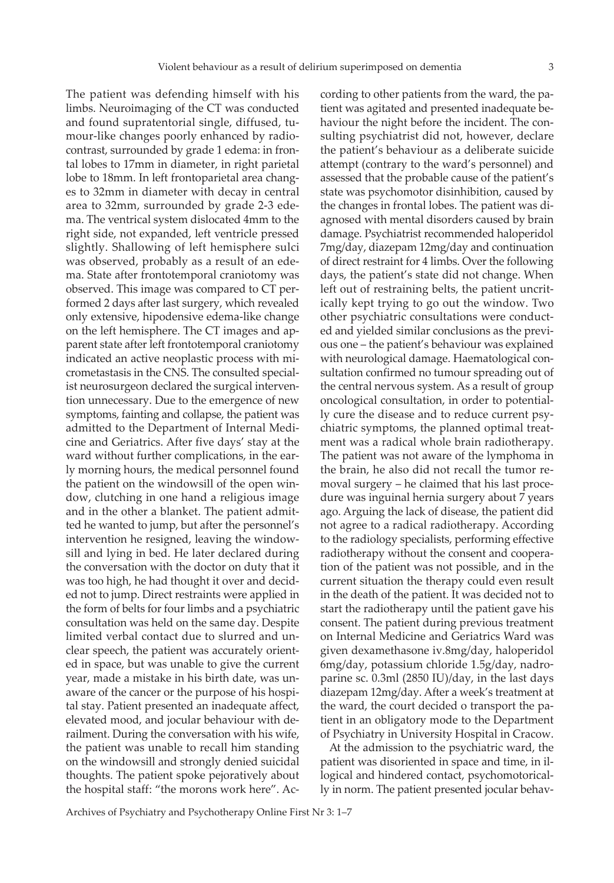The patient was defending himself with his limbs. Neuroimaging of the CT was conducted and found supratentorial single, diffused, tumour-like changes poorly enhanced by radiocontrast, surrounded by grade 1 edema: in frontal lobes to 17mm in diameter, in right parietal lobe to 18mm. In left frontoparietal area changes to 32mm in diameter with decay in central area to 32mm, surrounded by grade 2-3 edema. The ventrical system dislocated 4mm to the right side, not expanded, left ventricle pressed slightly. Shallowing of left hemisphere sulci was observed, probably as a result of an edema. State after frontotemporal craniotomy was observed. This image was compared to CT performed 2 days after last surgery, which revealed only extensive, hipodensive edema-like change on the left hemisphere. The CT images and apparent state after left frontotemporal craniotomy indicated an active neoplastic process with micrometastasis in the CNS. The consulted specialist neurosurgeon declared the surgical intervention unnecessary. Due to the emergence of new symptoms, fainting and collapse, the patient was admitted to the Department of Internal Medicine and Geriatrics. After five days' stay at the ward without further complications, in the early morning hours, the medical personnel found the patient on the windowsill of the open window, clutching in one hand a religious image and in the other a blanket. The patient admitted he wanted to jump, but after the personnel's intervention he resigned, leaving the windowsill and lying in bed. He later declared during the conversation with the doctor on duty that it was too high, he had thought it over and decided not to jump. Direct restraints were applied in the form of belts for four limbs and a psychiatric consultation was held on the same day. Despite limited verbal contact due to slurred and unclear speech, the patient was accurately oriented in space, but was unable to give the current year, made a mistake in his birth date, was unaware of the cancer or the purpose of his hospital stay. Patient presented an inadequate affect, elevated mood, and jocular behaviour with derailment. During the conversation with his wife, the patient was unable to recall him standing on the windowsill and strongly denied suicidal thoughts. The patient spoke pejoratively about the hospital staff: "the morons work here". Ac-

cording to other patients from the ward, the patient was agitated and presented inadequate behaviour the night before the incident. The consulting psychiatrist did not, however, declare the patient's behaviour as a deliberate suicide attempt (contrary to the ward's personnel) and assessed that the probable cause of the patient's state was psychomotor disinhibition, caused by the changes in frontal lobes. The patient was diagnosed with mental disorders caused by brain damage. Psychiatrist recommended haloperidol 7mg/day, diazepam 12mg/day and continuation of direct restraint for 4 limbs. Over the following days, the patient's state did not change. When left out of restraining belts, the patient uncritically kept trying to go out the window. Two other psychiatric consultations were conducted and yielded similar conclusions as the previous one – the patient's behaviour was explained with neurological damage. Haematological consultation confirmed no tumour spreading out of the central nervous system. As a result of group oncological consultation, in order to potentially cure the disease and to reduce current psychiatric symptoms, the planned optimal treatment was a radical whole brain radiotherapy. The patient was not aware of the lymphoma in the brain, he also did not recall the tumor removal surgery – he claimed that his last procedure was inguinal hernia surgery about 7 years ago. Arguing the lack of disease, the patient did not agree to a radical radiotherapy. According to the radiology specialists, performing effective radiotherapy without the consent and cooperation of the patient was not possible, and in the current situation the therapy could even result in the death of the patient. It was decided not to start the radiotherapy until the patient gave his consent. The patient during previous treatment on Internal Medicine and Geriatrics Ward was given dexamethasone iv.8mg/day, haloperidol 6mg/day, potassium chloride 1.5g/day, nadroparine sc. 0.3ml (2850 IU)/day, in the last days diazepam 12mg/day. After a week's treatment at the ward, the court decided o transport the patient in an obligatory mode to the Department of Psychiatry in University Hospital in Cracow.

At the admission to the psychiatric ward, the patient was disoriented in space and time, in illogical and hindered contact, psychomotorically in norm. The patient presented jocular behav-

Archives of Psychiatry and Psychotherapy Online First Nr 3: 1–7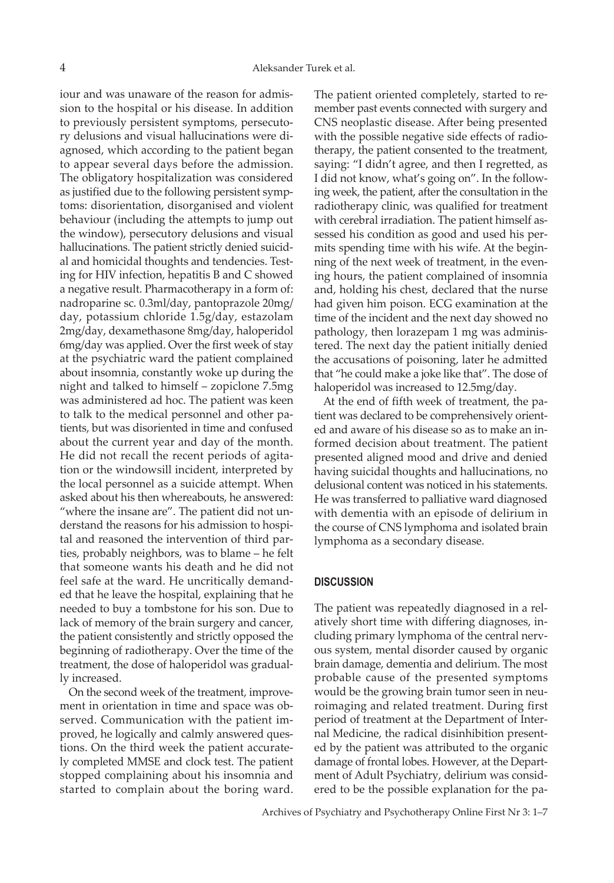iour and was unaware of the reason for admission to the hospital or his disease. In addition to previously persistent symptoms, persecutory delusions and visual hallucinations were diagnosed, which according to the patient began to appear several days before the admission. The obligatory hospitalization was considered as justified due to the following persistent symptoms: disorientation, disorganised and violent behaviour (including the attempts to jump out the window), persecutory delusions and visual hallucinations. The patient strictly denied suicidal and homicidal thoughts and tendencies. Testing for HIV infection, hepatitis B and C showed a negative result. Pharmacotherapy in a form of: nadroparine sc. 0.3ml/day, pantoprazole 20mg/ day, potassium chloride 1.5g/day, estazolam 2mg/day, dexamethasone 8mg/day, haloperidol 6mg/day was applied. Over the first week of stay at the psychiatric ward the patient complained about insomnia, constantly woke up during the night and talked to himself – zopiclone 7.5mg was administered ad hoc. The patient was keen to talk to the medical personnel and other patients, but was disoriented in time and confused about the current year and day of the month. He did not recall the recent periods of agitation or the windowsill incident, interpreted by the local personnel as a suicide attempt. When asked about his then whereabouts, he answered: "where the insane are". The patient did not understand the reasons for his admission to hospital and reasoned the intervention of third parties, probably neighbors, was to blame – he felt that someone wants his death and he did not feel safe at the ward. He uncritically demanded that he leave the hospital, explaining that he needed to buy a tombstone for his son. Due to lack of memory of the brain surgery and cancer, the patient consistently and strictly opposed the beginning of radiotherapy. Over the time of the treatment, the dose of haloperidol was gradually increased.

On the second week of the treatment, improvement in orientation in time and space was observed. Communication with the patient improved, he logically and calmly answered questions. On the third week the patient accurately completed MMSE and clock test. The patient stopped complaining about his insomnia and started to complain about the boring ward. The patient oriented completely, started to remember past events connected with surgery and CNS neoplastic disease. After being presented with the possible negative side effects of radiotherapy, the patient consented to the treatment, saying: "I didn't agree, and then I regretted, as I did not know, what's going on". In the following week, the patient, after the consultation in the radiotherapy clinic, was qualified for treatment with cerebral irradiation. The patient himself assessed his condition as good and used his permits spending time with his wife. At the beginning of the next week of treatment, in the evening hours, the patient complained of insomnia and, holding his chest, declared that the nurse had given him poison. ECG examination at the time of the incident and the next day showed no pathology, then lorazepam 1 mg was administered. The next day the patient initially denied the accusations of poisoning, later he admitted that "he could make a joke like that". The dose of haloperidol was increased to 12.5mg/day.

At the end of fifth week of treatment, the patient was declared to be comprehensively oriented and aware of his disease so as to make an informed decision about treatment. The patient presented aligned mood and drive and denied having suicidal thoughts and hallucinations, no delusional content was noticed in his statements. He was transferred to palliative ward diagnosed with dementia with an episode of delirium in the course of CNS lymphoma and isolated brain lymphoma as a secondary disease.

## **DISCUSSION**

The patient was repeatedly diagnosed in a relatively short time with differing diagnoses, including primary lymphoma of the central nervous system, mental disorder caused by organic brain damage, dementia and delirium. The most probable cause of the presented symptoms would be the growing brain tumor seen in neuroimaging and related treatment. During first period of treatment at the Department of Internal Medicine, the radical disinhibition presented by the patient was attributed to the organic damage of frontal lobes. However, at the Department of Adult Psychiatry, delirium was considered to be the possible explanation for the pa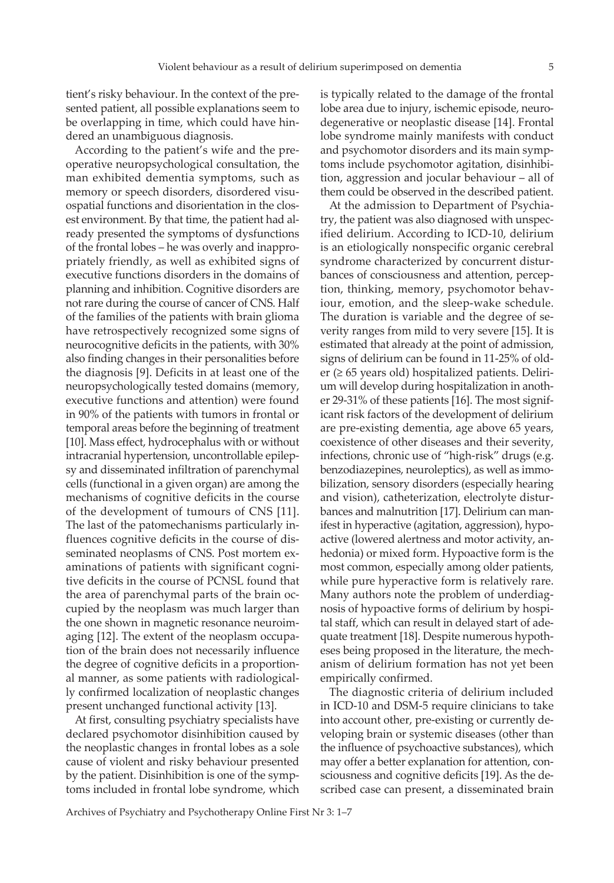tient's risky behaviour. In the context of the presented patient, all possible explanations seem to be overlapping in time, which could have hindered an unambiguous diagnosis.

According to the patient's wife and the preoperative neuropsychological consultation, the man exhibited dementia symptoms, such as memory or speech disorders, disordered visuospatial functions and disorientation in the closest environment. By that time, the patient had already presented the symptoms of dysfunctions of the frontal lobes – he was overly and inappropriately friendly, as well as exhibited signs of executive functions disorders in the domains of planning and inhibition. Cognitive disorders are not rare during the course of cancer of CNS. Half of the families of the patients with brain glioma have retrospectively recognized some signs of neurocognitive deficits in the patients, with 30% also finding changes in their personalities before the diagnosis [9]. Deficits in at least one of the neuropsychologically tested domains (memory, executive functions and attention) were found in 90% of the patients with tumors in frontal or temporal areas before the beginning of treatment [10]. Mass effect, hydrocephalus with or without intracranial hypertension, uncontrollable epilepsy and disseminated infiltration of parenchymal cells (functional in a given organ) are among the mechanisms of cognitive deficits in the course of the development of tumours of CNS [11]. The last of the patomechanisms particularly influences cognitive deficits in the course of disseminated neoplasms of CNS. Post mortem examinations of patients with significant cognitive deficits in the course of PCNSL found that the area of parenchymal parts of the brain occupied by the neoplasm was much larger than the one shown in magnetic resonance neuroimaging [12]. The extent of the neoplasm occupation of the brain does not necessarily influence the degree of cognitive deficits in a proportional manner, as some patients with radiologically confirmed localization of neoplastic changes present unchanged functional activity [13].

At first, consulting psychiatry specialists have declared psychomotor disinhibition caused by the neoplastic changes in frontal lobes as a sole cause of violent and risky behaviour presented by the patient. Disinhibition is one of the symptoms included in frontal lobe syndrome, which

is typically related to the damage of the frontal lobe area due to injury, ischemic episode, neurodegenerative or neoplastic disease [14]. Frontal lobe syndrome mainly manifests with conduct and psychomotor disorders and its main symptoms include psychomotor agitation, disinhibition, aggression and jocular behaviour – all of them could be observed in the described patient.

At the admission to Department of Psychiatry, the patient was also diagnosed with unspecified delirium. According to ICD-10, delirium is an etiologically nonspecific organic cerebral syndrome characterized by concurrent disturbances of consciousness and attention, perception, thinking, memory, psychomotor behaviour, emotion, and the sleep-wake schedule. The duration is variable and the degree of severity ranges from mild to very severe [15]. It is estimated that already at the point of admission, signs of delirium can be found in 11-25% of older (≥ 65 years old) hospitalized patients. Delirium will develop during hospitalization in another 29-31% of these patients [16]. The most significant risk factors of the development of delirium are pre-existing dementia, age above 65 years, coexistence of other diseases and their severity, infections, chronic use of "high-risk" drugs (e.g. benzodiazepines, neuroleptics), as well as immobilization, sensory disorders (especially hearing and vision), catheterization, electrolyte disturbances and malnutrition [17]. Delirium can manifest in hyperactive (agitation, aggression), hypoactive (lowered alertness and motor activity, anhedonia) or mixed form. Hypoactive form is the most common, especially among older patients, while pure hyperactive form is relatively rare. Many authors note the problem of underdiagnosis of hypoactive forms of delirium by hospital staff, which can result in delayed start of adequate treatment [18]. Despite numerous hypotheses being proposed in the literature, the mechanism of delirium formation has not yet been empirically confirmed.

The diagnostic criteria of delirium included in ICD-10 and DSM-5 require clinicians to take into account other, pre-existing or currently developing brain or systemic diseases (other than the influence of psychoactive substances), which may offer a better explanation for attention, consciousness and cognitive deficits [19]. As the described case can present, a disseminated brain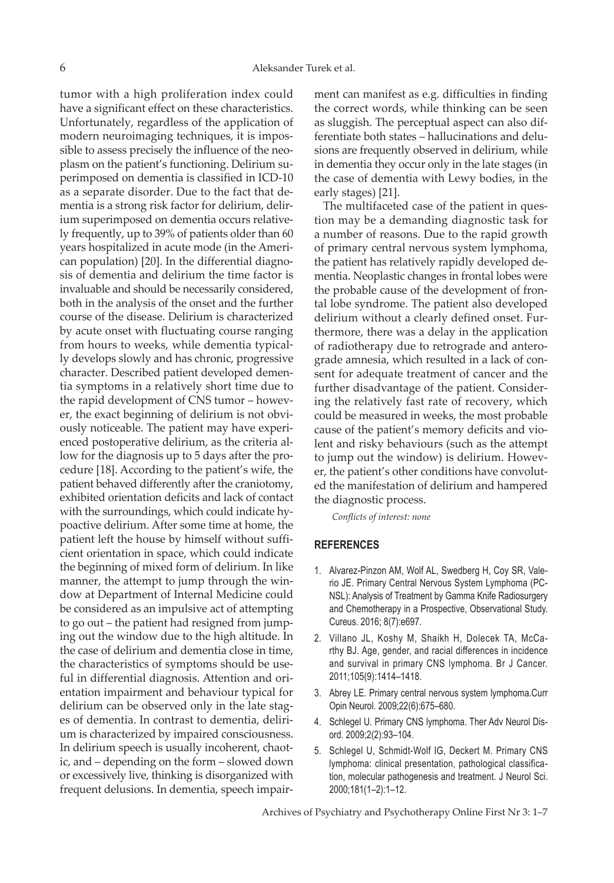tumor with a high proliferation index could have a significant effect on these characteristics. Unfortunately, regardless of the application of modern neuroimaging techniques, it is impossible to assess precisely the influence of the neoplasm on the patient's functioning. Delirium superimposed on dementia is classified in ICD-10 as a separate disorder. Due to the fact that dementia is a strong risk factor for delirium, delirium superimposed on dementia occurs relatively frequently, up to 39% of patients older than 60 years hospitalized in acute mode (in the American population) [20]. In the differential diagnosis of dementia and delirium the time factor is invaluable and should be necessarily considered, both in the analysis of the onset and the further course of the disease. Delirium is characterized by acute onset with fluctuating course ranging from hours to weeks, while dementia typically develops slowly and has chronic, progressive character. Described patient developed dementia symptoms in a relatively short time due to the rapid development of CNS tumor – however, the exact beginning of delirium is not obviously noticeable. The patient may have experienced postoperative delirium, as the criteria allow for the diagnosis up to 5 days after the procedure [18]. According to the patient's wife, the patient behaved differently after the craniotomy, exhibited orientation deficits and lack of contact with the surroundings, which could indicate hypoactive delirium. After some time at home, the patient left the house by himself without sufficient orientation in space, which could indicate the beginning of mixed form of delirium. In like manner, the attempt to jump through the window at Department of Internal Medicine could be considered as an impulsive act of attempting to go out – the patient had resigned from jumping out the window due to the high altitude. In the case of delirium and dementia close in time, the characteristics of symptoms should be useful in differential diagnosis. Attention and orientation impairment and behaviour typical for delirium can be observed only in the late stages of dementia. In contrast to dementia, delirium is characterized by impaired consciousness. In delirium speech is usually incoherent, chaotic, and – depending on the form – slowed down or excessively live, thinking is disorganized with frequent delusions. In dementia, speech impairment can manifest as e.g. difficulties in finding the correct words, while thinking can be seen as sluggish. The perceptual aspect can also differentiate both states – hallucinations and delusions are frequently observed in delirium, while in dementia they occur only in the late stages (in the case of dementia with Lewy bodies, in the early stages) [21].

The multifaceted case of the patient in question may be a demanding diagnostic task for a number of reasons. Due to the rapid growth of primary central nervous system lymphoma, the patient has relatively rapidly developed dementia. Neoplastic changes in frontal lobes were the probable cause of the development of frontal lobe syndrome. The patient also developed delirium without a clearly defined onset. Furthermore, there was a delay in the application of radiotherapy due to retrograde and anterograde amnesia, which resulted in a lack of consent for adequate treatment of cancer and the further disadvantage of the patient. Considering the relatively fast rate of recovery, which could be measured in weeks, the most probable cause of the patient's memory deficits and violent and risky behaviours (such as the attempt to jump out the window) is delirium. However, the patient's other conditions have convoluted the manifestation of delirium and hampered the diagnostic process.

*Conflicts of interest: none*

### **REFERENCES**

- 1. Alvarez-Pinzon AM, Wolf AL, Swedberg H, Coy SR, Valerio JE. Primary Central Nervous System Lymphoma (PC-NSL): Analysis of Treatment by Gamma Knife Radiosurgery and Chemotherapy in a Prospective, Observational Study. Cureus. 2016; 8(7):e697.
- 2. Villano JL, Koshy M, Shaikh H, Dolecek TA, McCarthy BJ. Age, gender, and racial differences in incidence and survival in primary CNS lymphoma. Br J Cancer. 2011;105(9):1414–1418.
- 3. Abrey LE. Primary central nervous system lymphoma.Curr Opin Neurol. 2009;22(6):675–680.
- 4. Schlegel U. Primary CNS lymphoma. Ther Adv Neurol Disord. 2009;2(2):93–104.
- 5. Schlegel U, Schmidt-Wolf IG, Deckert M. Primary CNS lymphoma: clinical presentation, pathological classification, molecular pathogenesis and treatment. J Neurol Sci. 2000;181(1–2):1–12.